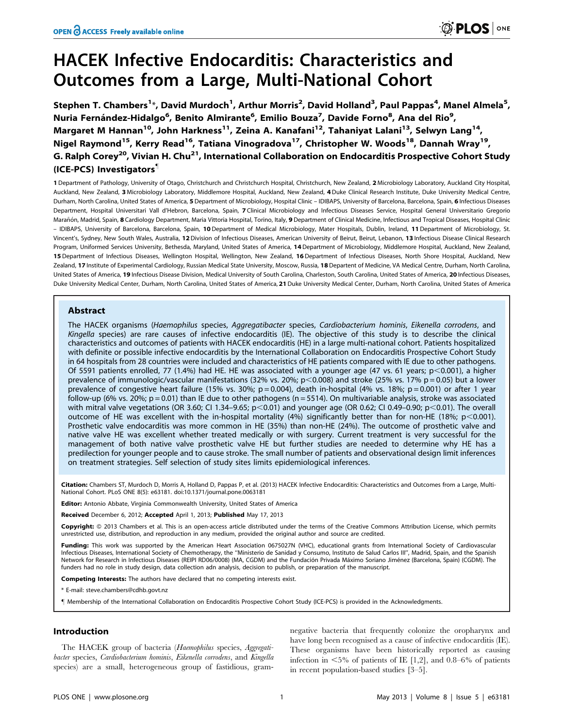# HACEK Infective Endocarditis: Characteristics and Outcomes from a Large, Multi-National Cohort

Stephen T. Chambers<sup>1</sup>\*, David Murdoch<sup>1</sup>, Arthur Morris<sup>2</sup>, David Holland<sup>3</sup>, Paul Pappas<sup>4</sup>, Manel Almela<sup>5</sup>, Nuria Fernández-Hidalgo<sup>6</sup>, Benito Almirante<sup>6</sup>, Emilio Bouza<sup>7</sup>, Davide Forno<sup>8</sup>, Ana del Rio<sup>9</sup>, Margaret M Hannan<sup>10</sup>, John Harkness<sup>11</sup>, Zeina A. Kanafani<sup>12</sup>, Tahaniyat Lalani<sup>13</sup>, Selwyn Lang<sup>14</sup>, Nigel Raymond<sup>15</sup>, Kerry Read<sup>16</sup>, Tatiana Vinogradova<sup>17</sup>, Christopher W. Woods<sup>18</sup>, Dannah Wray<sup>19</sup>, G. Ralph Corey<sup>20</sup>, Vivian H. Chu<sup>21</sup>, International Collaboration on Endocarditis Prospective Cohort Study (ICE-PCS) Investigators"

1 Department of Pathology, University of Otago, Christchurch and Christchurch Hospital, Christchurch, New Zealand, 2 Microbiology Laboratory, Auckland City Hospital, Auckland, New Zealand, 3 Microbiology Laboratory, Middlemore Hospital, Auckland, New Zealand, 4 Duke Clinical Research Institute, Duke University Medical Centre, Durham, North Carolina, United States of America, 5 Department of Microbiology, Hospital Clinic - IDIBAPS, University of Barcelona, Barcelona, Spain, 6 Infectious Diseases Department, Hospital Universitari Vall d'Hebron, Barcelona, Spain, 7 Clinical Microbiology and Infectious Diseases Service, Hospital General Universitario Gregorio Marañón, Madrid, Spain, 8 Cardiology Department, Maria Vittoria Hospital, Torino, Italy, 9 Department of Clinical Medicine, Infectious and Tropical Diseases, Hospital Clinic – IDIBAPS, University of Barcelona, Barcelona, Spain, 10 Department of Medical Microbiology, Mater Hospitals, Dublin, Ireland, 11Department of Microbiology, St. Vincent's, Sydney, New South Wales, Australia, 12 Division of Infectious Diseases, American University of Beirut, Beirut, Lebanon, 13 Infectious Disease Clinical Research Program, Uniformed Services University, Bethesda, Maryland, United States of America, 14 Department of Microbiology, Middlemore Hospital, Auckland, New Zealand, 15 Department of Infectious Diseases, Wellington Hospital, Wellington, New Zealand, 16 Department of Infectious Diseases, North Shore Hospital, Auckland, New Zealand, 17 Institute of Experimental Cardiology, Russian Medical State University, Moscow, Russia, 18 Departent of Medicine, VA Medical Centre, Durham, North Carolina, United States of America, 19 Infectious Disease Division, Medical University of South Carolina, Charleston, South Carolina, United States of America, 20 Infectious Diseases, Duke University Medical Center, Durham, North Carolina, United States of America, 21 Duke University Medical Center, Durham, North Carolina, United States of America

## Abstract

The HACEK organisms (Haemophilus species, Aggregatibacter species, Cardiobacterium hominis, Eikenella corrodens, and Kingella species) are rare causes of infective endocarditis (IE). The objective of this study is to describe the clinical characteristics and outcomes of patients with HACEK endocarditis (HE) in a large multi-national cohort. Patients hospitalized with definite or possible infective endocarditis by the International Collaboration on Endocarditis Prospective Cohort Study in 64 hospitals from 28 countries were included and characteristics of HE patients compared with IE due to other pathogens. Of 5591 patients enrolled, 77 (1.4%) had HE. HE was associated with a younger age (47 vs. 61 years;  $p$ <0.001), a higher prevalence of immunologic/vascular manifestations (32% vs. 20%; p<0.008) and stroke (25% vs. 17% p = 0.05) but a lower prevalence of congestive heart failure (15% vs. 30%; p = 0.004), death in-hospital (4% vs. 18%; p = 0.001) or after 1 year follow-up (6% vs. 20%;  $p = 0.01$ ) than IE due to other pathogens (n = 5514). On multivariable analysis, stroke was associated with mitral valve vegetations (OR 3.60; CI 1.34–9.65; p<0.01) and younger age (OR 0.62; CI 0.49–0.90; p<0.01). The overall outcome of HE was excellent with the in-hospital mortality (4%) significantly better than for non-HE (18%;  $p<0.001$ ). Prosthetic valve endocarditis was more common in HE (35%) than non-HE (24%). The outcome of prosthetic valve and native valve HE was excellent whether treated medically or with surgery. Current treatment is very successful for the management of both native valve prosthetic valve HE but further studies are needed to determine why HE has a predilection for younger people and to cause stroke. The small number of patients and observational design limit inferences on treatment strategies. Self selection of study sites limits epidemiological inferences.

Citation: Chambers ST, Murdoch D, Morris A, Holland D, Pappas P, et al. (2013) HACEK Infective Endocarditis: Characteristics and Outcomes from a Large, Multi-National Cohort. PLoS ONE 8(5): e63181. doi:10.1371/journal.pone.0063181

Editor: Antonio Abbate, Virginia Commonwealth University, United States of America

Received December 6, 2012; Accepted April 1, 2013; Published May 17, 2013

Copyright: © 2013 Chambers et al. This is an open-access article distributed under the terms of the Creative Commons Attribution License, which permits unrestricted use, distribution, and reproduction in any medium, provided the original author and source are credited.

Funding: This work was supported by the American Heart Association 0675027N (VHC), educational grants from International Society of Cardiovascular Infectious Diseases, International Society of Chemotherapy, the ''Ministerio de Sanidad y Consumo, Instituto de Salud Carlos III'', Madrid, Spain, and the Spanish Network for Research in Infectious Diseases (REIPI RD06/0008) (MA, CGDM) and the Fundación Privada Máximo Soriano Jiménez (Barcelona, Spain) (CGDM). The funders had no role in study design, data collection adn analysis, decision to publish, or preparation of the manuscript.

Competing Interests: The authors have declared that no competing interests exist.

\* E-mail: steve.chambers@cdhb.govt.nz

" Membership of the International Collaboration on Endocarditis Prospective Cohort Study (ICE-PCS) is provided in the Acknowledgments.

## Introduction

The HACEK group of bacteria (Haemophilus species, Aggregatibacter species, Cardiobacterium hominis, Eikenella corrodens, and Kingella species) are a small, heterogeneous group of fastidious, gramnegative bacteria that frequently colonize the oropharynx and have long been recognised as a cause of infective endocarditis (IE). These organisms have been historically reported as causing infection in  $<5\%$  of patients of IE [1,2], and 0.8–6% of patients in recent population-based studies [3–5].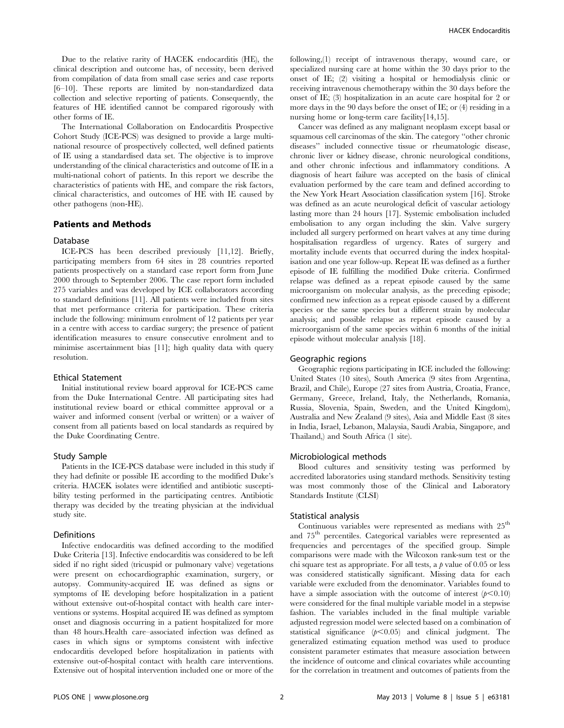Due to the relative rarity of HACEK endocarditis (HE), the clinical description and outcome has, of necessity, been derived from compilation of data from small case series and case reports [6–10]. These reports are limited by non-standardized data collection and selective reporting of patients. Consequently, the features of HE identified cannot be compared rigorously with other forms of IE.

The International Collaboration on Endocarditis Prospective Cohort Study (ICE-PCS) was designed to provide a large multinational resource of prospectively collected, well defined patients of IE using a standardised data set. The objective is to improve understanding of the clinical characteristics and outcome of IE in a multi-national cohort of patients. In this report we describe the characteristics of patients with HE, and compare the risk factors, clinical characteristics, and outcomes of HE with IE caused by other pathogens (non-HE).

## Patients and Methods

## Database

ICE-PCS has been described previously [11,12]. Briefly, participating members from 64 sites in 28 countries reported patients prospectively on a standard case report form from June 2000 through to September 2006. The case report form included 275 variables and was developed by ICE collaborators according to standard definitions [11]. All patients were included from sites that met performance criteria for participation. These criteria include the following: minimum enrolment of 12 patients per year in a centre with access to cardiac surgery; the presence of patient identification measures to ensure consecutive enrolment and to minimise ascertainment bias [11]; high quality data with query resolution.

## Ethical Statement

Initial institutional review board approval for ICE-PCS came from the Duke International Centre. All participating sites had institutional review board or ethical committee approval or a waiver and informed consent (verbal or written) or a waiver of consent from all patients based on local standards as required by the Duke Coordinating Centre.

## Study Sample

Patients in the ICE-PCS database were included in this study if they had definite or possible IE according to the modified Duke's criteria. HACEK isolates were identified and antibiotic susceptibility testing performed in the participating centres. Antibiotic therapy was decided by the treating physician at the individual study site.

#### Definitions

Infective endocarditis was defined according to the modified Duke Criteria [13]. Infective endocarditis was considered to be left sided if no right sided (tricuspid or pulmonary valve) vegetations were present on echocardiographic examination, surgery, or autopsy. Community-acquired IE was defined as signs or symptoms of IE developing before hospitalization in a patient without extensive out-of-hospital contact with health care interventions or systems. Hospital acquired IE was defined as symptom onset and diagnosis occurring in a patient hospitalized for more than 48 hours.Health care–associated infection was defined as cases in which signs or symptoms consistent with infective endocarditis developed before hospitalization in patients with extensive out-of-hospital contact with health care interventions. Extensive out of hospital intervention included one or more of the following,(1) receipt of intravenous therapy, wound care, or specialized nursing care at home within the 30 days prior to the onset of IE; (2) visiting a hospital or hemodialysis clinic or receiving intravenous chemotherapy within the 30 days before the onset of IE; (3) hospitalization in an acute care hospital for 2 or more days in the 90 days before the onset of IE; or (4) residing in a nursing home or long-term care facility[14,15].

Cancer was defined as any malignant neoplasm except basal or squamous cell carcinomas of the skin. The category ''other chronic diseases'' included connective tissue or rheumatologic disease, chronic liver or kidney disease, chronic neurological conditions, and other chronic infectious and inflammatory conditions. A diagnosis of heart failure was accepted on the basis of clinical evaluation performed by the care team and defined according to the New York Heart Association classification system [16]. Stroke was defined as an acute neurological deficit of vascular aetiology lasting more than 24 hours [17]. Systemic embolisation included embolisation to any organ including the skin. Valve surgery included all surgery performed on heart valves at any time during hospitalisation regardless of urgency. Rates of surgery and mortality include events that occurred during the index hospitalisation and one year follow-up. Repeat IE was defined as a further episode of IE fulfilling the modified Duke criteria. Confirmed relapse was defined as a repeat episode caused by the same microorganism on molecular analysis, as the preceding episode; confirmed new infection as a repeat episode caused by a different species or the same species but a different strain by molecular analysis; and possible relapse as repeat episode caused by a microorganism of the same species within 6 months of the initial episode without molecular analysis [18].

#### Geographic regions

Geographic regions participating in ICE included the following: United States (10 sites), South America (9 sites from Argentina, Brazil, and Chile), Europe (27 sites from Austria, Croatia, France, Germany, Greece, Ireland, Italy, the Netherlands, Romania, Russia, Slovenia, Spain, Sweden, and the United Kingdom), Australia and New Zealand (9 sites), Asia and Middle East (8 sites in India, Israel, Lebanon, Malaysia, Saudi Arabia, Singapore, and Thailand,) and South Africa (1 site).

### Microbiological methods

Blood cultures and sensitivity testing was performed by accredited laboratories using standard methods. Sensitivity testing was most commonly those of the Clinical and Laboratory Standards Institute (CLSI)

#### Statistical analysis

Continuous variables were represented as medians with  $25<sup>th</sup>$ and 75th percentiles. Categorical variables were represented as frequencies and percentages of the specified group. Simple comparisons were made with the Wilcoxon rank-sum test or the chi square test as appropriate. For all tests, a  $\beta$  value of 0.05 or less was considered statistically significant. Missing data for each variable were excluded from the denominator. Variables found to have a simple association with the outcome of interest  $(p<0.10)$ were considered for the final multiple variable model in a stepwise fashion. The variables included in the final multiple variable adjusted regression model were selected based on a combination of statistical significance  $(p<0.05)$  and clinical judgment. The generalized estimating equation method was used to produce consistent parameter estimates that measure association between the incidence of outcome and clinical covariates while accounting for the correlation in treatment and outcomes of patients from the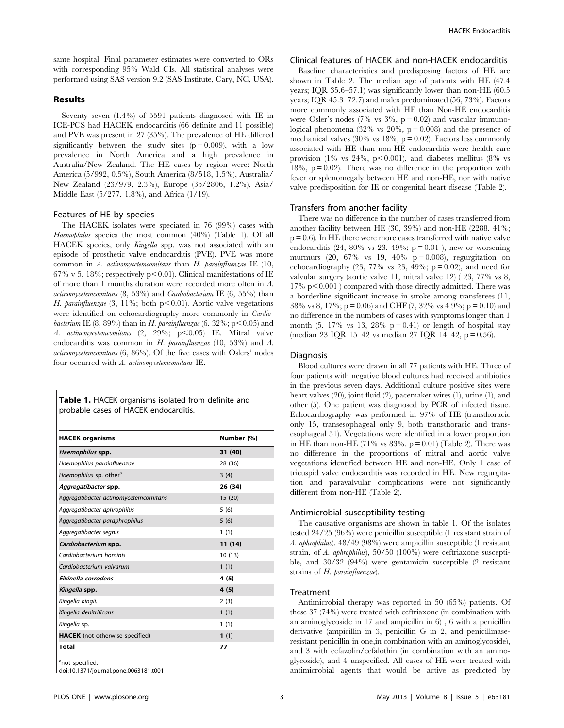same hospital. Final parameter estimates were converted to ORs with corresponding 95% Wald CIs. All statistical analyses were performed using SAS version 9.2 (SAS Institute, Cary, NC, USA).

## Results

Seventy seven (1.4%) of 5591 patients diagnosed with IE in ICE-PCS had HACEK endocarditis (66 definite and 11 possible) and PVE was present in 27 (35%). The prevalence of HE differed significantly between the study sites  $(p=0.009)$ , with a low prevalence in North America and a high prevalence in Australia/New Zealand. The HE cases by region were: North America (5/992, 0.5%), South America (8/518, 1.5%), Australia/ New Zealand (23/979, 2.3%), Europe (35/2806, 1.2%), Asia/ Middle East (5/277, 1.8%), and Africa (1/19).

#### Features of HE by species

The HACEK isolates were speciated in 76 (99%) cases with Haemophilus species the most common (40%) (Table 1). Of all HACEK species, only Kingella spp. was not associated with an episode of prosthetic valve endocarditis (PVE). PVE was more common in A. actinomycetemcomitans than  $H$ . parainfluenzae IE (10,  $67\%$  v 5, 18%; respectively p $\leq$ 0.01). Clinical manifestations of IE of more than 1 months duration were recorded more often in A. actinomycetemcomitans (8, 53%) and Cardiobacterium IE (6, 55%) than H. parainfluenzae  $(3, 11\%;$  both p $\leq 0.01$ ). Aortic valve vegetations were identified on echocardiography more commonly in Cardiobacterium IE (8, 89%) than in H. parainfluenzae (6, 32%; p $\leq$ 0.05) and A. actinomycetemcomitans  $(2, 29\%; p<0.05)$  IE. Mitral valve endocarditis was common in H. parainfluenzae (10, 53%) and A. actinomycetemcomitans (6, 86%). Of the five cases with Oslers' nodes four occurred with A. actinomycetemcomitans IE.

Table 1. HACEK organisms isolated from definite and probable cases of HACEK endocarditis.

| <b>HACEK organisms</b>                 | Number (%) |
|----------------------------------------|------------|
| Haemophilus spp.                       | 31 (40)    |
| Haemophilus parainfluenzae             | 28 (36)    |
| Haemophilus sp. other <sup>a</sup>     | 3(4)       |
| Aggregatibacter spp.                   | 26 (34)    |
| Aggregatibacter actinomycetemcomitans  | 15 (20)    |
| Aggregatibacter aphrophilus            | 5(6)       |
| Aggregatibacter paraphrophilus         | 5(6)       |
| Aggregatibacter segnis                 | 1(1)       |
| Cardiobacterium spp.                   | 11 (14)    |
| Cardiobacterium hominis                | 10(13)     |
| Cardiobacterium valvarum               | 1(1)       |
| Eikinella corrodens                    | 4(5)       |
| Kingella spp.                          | 4 (5)      |
| Kingella kingii.                       | 2(3)       |
| Kingella denitrificans                 | 1(1)       |
| Kingella sp.                           | 1(1)       |
| <b>HACEK</b> (not otherwise specified) | 1(1)       |
| <b>Total</b>                           | 77         |

<sup>a</sup>not specified.

doi:10.1371/journal.pone.0063181.t001

## Clinical features of HACEK and non-HACEK endocarditis

Baseline characteristics and predisposing factors of HE are shown in Table 2. The median age of patients with HE (47.4 years; IQR 35.6–57.1) was significantly lower than non-HE (60.5 years; IQR 45.3–72.7) and males predominated (56, 73%). Factors more commonly associated with HE than Non-HE endocarditis were Osler's nodes (7% vs  $3\%$ , p = 0.02) and vascular immunological phenomena (32% vs 20%,  $p = 0.008$ ) and the presence of mechanical valves (30% vs 18%,  $p = 0.02$ ). Factors less commonly associated with HE than non-HE endocarditis were health care provision (1% vs 24%, p $\leq$ 0.001), and diabetes mellitus (8% vs  $18\%$ ,  $p = 0.02$ ). There was no difference in the proportion with fever or splenomegaly between HE and non-HE, nor with native valve predisposition for IE or congenital heart disease (Table 2).

#### Transfers from another facility

There was no difference in the number of cases transferred from another facility between HE (30, 39%) and non-HE (2288, 41%;  $p = 0.6$ ). In HE there were more cases transferred with native valve endocarditis (24, 80% vs 23, 49%;  $p = 0.01$ ), new or worsening murmurs (20, 67% vs 19, 40%  $p = 0.008$ ), regurgitation on echocardiography (23, 77% vs 23, 49%;  $p = 0.02$ ), and need for valvular surgery (aortic valve 11, mitral valve 12) ( 23, 77% vs 8,  $17\%$  p $\leq 0.001$  ) compared with those directly admitted. There was a borderline significant increase in stroke among transferees (11, 38% vs 8, 17%; p = 0.06) and CHF (7, 32% vs 4 9%; p = 0.10) and no difference in the numbers of cases with symptoms longer than 1 month (5, 17% vs 13, 28%  $p = 0.41$ ) or length of hospital stay (median 23 IQR 15–42 vs median 27 IQR 14–42,  $p = 0.56$ ).

#### Diagnosis

Blood cultures were drawn in all 77 patients with HE. Three of four patients with negative blood cultures had received antibiotics in the previous seven days. Additional culture positive sites were heart valves (20), joint fluid (2), pacemaker wires (1), urine (1), and other (5). One patient was diagnosed by PCR of infected tissue. Echocardiography was performed in 97% of HE (transthoracic only 15, transesophageal only 9, both transthoracic and transesophageal 51). Vegetations were identified in a lower proportion in HE than non-HE (71% vs  $83\%$ , p = 0.01) (Table 2). There was no difference in the proportions of mitral and aortic valve vegetations identified between HE and non-HE. Only 1 case of tricuspid valve endocarditis was recorded in HE. New regurgitation and paravalvular complications were not significantly different from non-HE (Table 2).

## Antimicrobial susceptibility testing

The causative organisms are shown in table 1. Of the isolates tested 24/25 (96%) were penicillin susceptible (1 resistant strain of A. aphrophilus), 48/49 (98%) were ampicillin susceptible (1 resistant strain, of A. aphrophilus), 50/50 (100%) were ceftriaxone susceptible, and 30/32 (94%) were gentamicin susceptible (2 resistant strains of H. parainfluenzae).

## Treatment

Antimicrobial therapy was reported in 50 (65%) patients. Of these 37 (74%) were treated with ceftriaxone (in combination with an aminoglycoside in 17 and ampicillin in 6) , 6 with a penicillin derivative (ampicillin in 3, penicillin G in 2, and penicillinaseresistant penicillin in one,in combination with an aminoglycoside), and 3 with cefazolin/cefalothin (in combination with an aminoglycoside), and 4 unspecified. All cases of HE were treated with antimicrobial agents that would be active as predicted by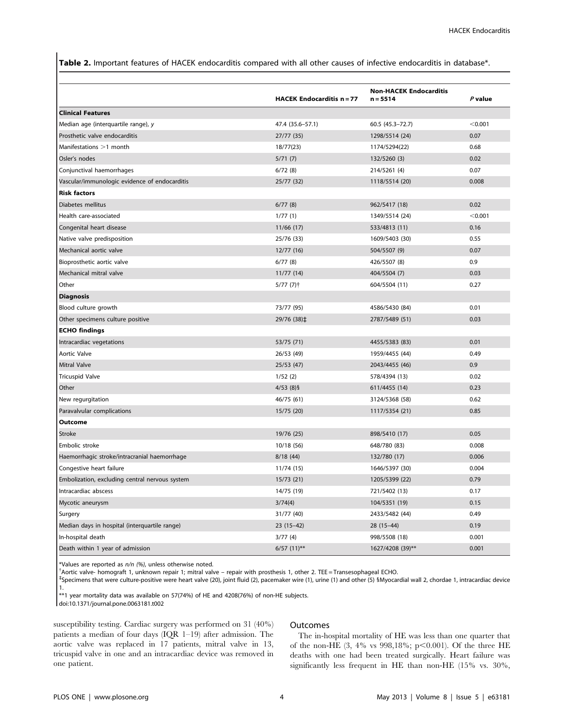Table 2. Important features of HACEK endocarditis compared with all other causes of infective endocarditis in database\*.

|                                                | <b>HACEK Endocarditis <math>n = 77</math></b> | <b>Non-HACEK Endocarditis</b><br>$n = 5514$ | P value |
|------------------------------------------------|-----------------------------------------------|---------------------------------------------|---------|
| <b>Clinical Features</b>                       |                                               |                                             |         |
| Median age (interquartile range), y            | 47.4 (35.6-57.1)                              | 60.5 (45.3-72.7)                            | < 0.001 |
| Prosthetic valve endocarditis                  | 27/77 (35)                                    | 1298/5514 (24)                              | 0.07    |
| Manifestations >1 month                        | 18/77(23)                                     | 1174/5294(22)                               | 0.68    |
| Osler's nodes                                  | 5/71(7)                                       | 132/5260 (3)                                | 0.02    |
| Conjunctival haemorrhages                      | 6/72(8)                                       | 214/5261 (4)                                | 0.07    |
| Vascular/immunologic evidence of endocarditis  | 25/77 (32)                                    | 1118/5514 (20)                              | 0.008   |
| <b>Risk factors</b>                            |                                               |                                             |         |
| Diabetes mellitus                              | 6/77(8)                                       | 962/5417 (18)                               | 0.02    |
| Health care-associated                         | 1/77(1)                                       | 1349/5514 (24)                              | < 0.001 |
| Congenital heart disease                       | 11/66 (17)                                    | 533/4813 (11)                               | 0.16    |
| Native valve predisposition                    | 25/76 (33)                                    | 1609/5403 (30)                              | 0.55    |
| Mechanical aortic valve                        | 12/77 (16)                                    | 504/5507 (9)                                | 0.07    |
| Bioprosthetic aortic valve                     | 6/77(8)                                       | 426/5507 (8)                                | 0.9     |
| Mechanical mitral valve                        | 11/77(14)                                     | 404/5504 (7)                                | 0.03    |
| Other                                          | $5/77$ (7) $\dagger$                          | 604/5504 (11)                               | 0.27    |
| <b>Diagnosis</b>                               |                                               |                                             |         |
| Blood culture growth                           | 73/77 (95)                                    | 4586/5430 (84)                              | 0.01    |
| Other specimens culture positive               | 29/76 (38) $\ddagger$                         | 2787/5489 (51)                              | 0.03    |
| <b>ECHO findings</b>                           |                                               |                                             |         |
| Intracardiac vegetations                       | 53/75 (71)                                    | 4455/5383 (83)                              | 0.01    |
| Aortic Valve                                   | 26/53 (49)                                    | 1959/4455 (44)                              | 0.49    |
| <b>Mitral Valve</b>                            | 25/53(47)                                     | 2043/4455 (46)                              | 0.9     |
| <b>Tricuspid Valve</b>                         | 1/52(2)                                       | 578/4394 (13)                               | 0.02    |
| Other                                          | $4/53(8)$ §                                   | 611/4455 (14)                               | 0.23    |
| New regurgitation                              | 46/75 (61)                                    | 3124/5368 (58)                              | 0.62    |
| Paravalvular complications                     | 15/75 (20)                                    | 1117/5354 (21)                              | 0.85    |
| Outcome                                        |                                               |                                             |         |
| Stroke                                         | 19/76 (25)                                    | 898/5410 (17)                               | 0.05    |
| Embolic stroke                                 | 10/18 (56)                                    | 648/780 (83)                                | 0.008   |
| Haemorrhagic stroke/intracranial haemorrhage   | 8/18(44)                                      | 132/780 (17)                                | 0.006   |
| Congestive heart failure                       | 11/74 (15)                                    | 1646/5397 (30)                              | 0.004   |
| Embolization, excluding central nervous system | 15/73 (21)                                    | 1205/5399 (22)                              | 0.79    |
| Intracardiac abscess                           | 14/75 (19)                                    | 721/5402 (13)                               | 0.17    |
| Mycotic aneurysm                               | 3/74(4)                                       | 104/5351 (19)                               | 0.15    |
| Surgery                                        | 31/77 (40)                                    | 2433/5482 (44)                              | 0.49    |
| Median days in hospital (interquartile range)  | $23(15-42)$                                   | 28 (15-44)                                  | 0.19    |
| In-hospital death                              | 3/77(4)                                       | 998/5508 (18)                               | 0.001   |
| Death within 1 year of admission               | $6/57$ (11)**                                 | 1627/4208 (39)**                            | 0.001   |

\*Values are reported as n/n (%), unless otherwise noted. {

Aortic valve- homograft 1, unknown repair 1; mitral valve – repair with prosthesis 1, other 2. TEE = Transesophageal ECHO.

<sup>‡</sup>Specimens that were culture-positive were heart valve (20), joint fluid (2), pacemaker wire (1), urine (1) and other (5) §Myocardial wall 2, chordae 1, intracardiac device 1.

\*\*1 year mortality data was available on 57(74%) of HE and 4208(76%) of non-HE subjects.

doi:10.1371/journal.pone.0063181.t002

susceptibility testing. Cardiac surgery was performed on 31 (40%) patients a median of four days (IQR 1–19) after admission. The aortic valve was replaced in 17 patients, mitral valve in 13, tricuspid valve in one and an intracardiac device was removed in one patient.

#### Outcomes

The in-hospital mortality of HE was less than one quarter that of the non-HE  $(3, 4\%$  vs 998,18%; p<0.001). Of the three HE deaths with one had been treated surgically. Heart failure was significantly less frequent in HE than non-HE (15% vs. 30%,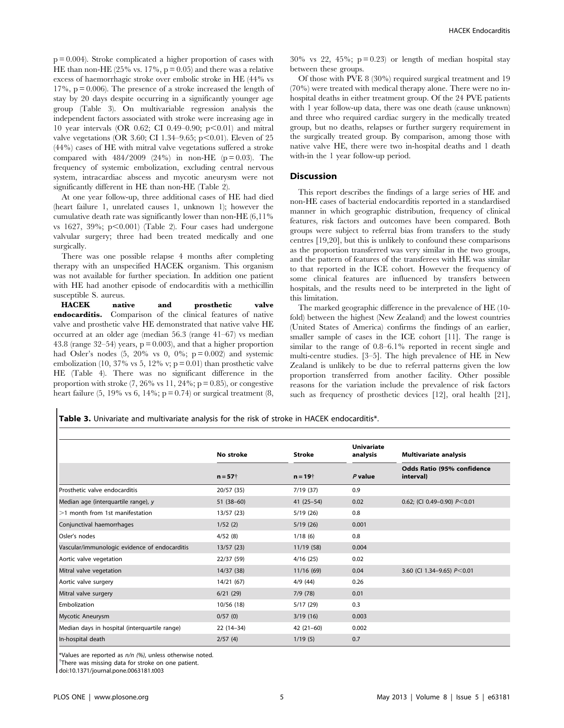$p = 0.004$ ). Stroke complicated a higher proportion of cases with HE than non-HE (25% vs.  $17\%$ , p = 0.05) and there was a relative excess of haemorrhagic stroke over embolic stroke in HE (44% vs  $17\%$ ,  $p = 0.006$ ). The presence of a stroke increased the length of stay by 20 days despite occurring in a significantly younger age group (Table 3). On multivariable regression analysis the independent factors associated with stroke were increasing age in 10 year intervals (OR 0.62; CI 0.49–0.90;  $p<0.01$ ) and mitral valve vegetations (OR 3.60; CI 1.34–9.65;  $p<0.01$ ). Eleven of 25 (44%) cases of HE with mitral valve vegetations suffered a stroke compared with  $484/2009$  (24%) in non-HE (p = 0.03). The frequency of systemic embolization, excluding central nervous system, intracardiac abscess and mycotic aneurysm were not significantly different in HE than non-HE (Table 2).

At one year follow-up, three additional cases of HE had died (heart failure 1, unrelated causes 1, unknown 1); however the cumulative death rate was significantly lower than non-HE (6,11% vs 1627, 39%;  $p<0.001$ ) (Table 2). Four cases had undergone valvular surgery; three had been treated medically and one surgically.

There was one possible relapse 4 months after completing therapy with an unspecified HACEK organism. This organism was not available for further speciation. In addition one patient with HE had another episode of endocarditis with a methicillin susceptible S. aureus.

HACEK native and prosthetic valve endocarditis. Comparison of the clinical features of native valve and prosthetic valve HE demonstrated that native valve HE occurred at an older age (median 56.3 (range 41–67) vs median 43.8 (range 32–54) years,  $p = 0.003$ ), and that a higher proportion had Osler's nodes  $(5, 20\%$  vs 0,  $0\%$ ;  $p = 0.002$ ) and systemic embolization (10, 37% vs 5, 12% v;  $p = 0.01$ ) than prosthetic valve HE (Table 4). There was no significant difference in the proportion with stroke  $(7, 26\% \text{ vs } 11, 24\% \text{; p} = 0.85)$ , or congestive heart failure (5, 19% vs 6, 14%;  $p = 0.74$ ) or surgical treatment (8,

 $30\%$  vs 22, 45%; p = 0.23) or length of median hospital stay between these groups.

Of those with PVE 8 (30%) required surgical treatment and 19 (70%) were treated with medical therapy alone. There were no inhospital deaths in either treatment group. Of the 24 PVE patients with 1 year follow-up data, there was one death (cause unknown) and three who required cardiac surgery in the medically treated group, but no deaths, relapses or further surgery requirement in the surgically treated group. By comparison, among those with native valve HE, there were two in-hospital deaths and 1 death with-in the 1 year follow-up period.

#### **Discussion**

This report describes the findings of a large series of HE and non-HE cases of bacterial endocarditis reported in a standardised manner in which geographic distribution, frequency of clinical features, risk factors and outcomes have been compared. Both groups were subject to referral bias from transfers to the study centres [19,20], but this is unlikely to confound these comparisons as the proportion transferred was very similar in the two groups, and the pattern of features of the transferees with HE was similar to that reported in the ICE cohort. However the frequency of some clinical features are influenced by transfers between hospitals, and the results need to be interpreted in the light of this limitation.

The marked geographic difference in the prevalence of HE (10 fold) between the highest (New Zealand) and the lowest countries (United States of America) confirms the findings of an earlier, smaller sample of cases in the ICE cohort [11]. The range is similar to the range of 0.8–6.1% reported in recent single and multi-centre studies. [3–5]. The high prevalence of HE in New Zealand is unlikely to be due to referral patterns given the low proportion transferred from another facility. Other possible reasons for the variation include the prevalence of risk factors such as frequency of prosthetic devices [12], oral health [21],

Table 3. Univariate and multivariate analysis for the risk of stroke in HACEK endocarditis\*.

|                                               | No stroke<br>$n = 57 +$ | <b>Stroke</b><br>$n = 19+$ | <b>Univariate</b><br>analysis<br>$P$ value | <b>Multivariate analysis</b>            |  |
|-----------------------------------------------|-------------------------|----------------------------|--------------------------------------------|-----------------------------------------|--|
|                                               |                         |                            |                                            | Odds Ratio (95% confidence<br>interval) |  |
| Prosthetic valve endocarditis                 | 20/57 (35)              | 7/19(37)                   | 0.9                                        |                                         |  |
| Median age (interquartile range), y           | $51(38-60)$             | $41(25-54)$                | 0.02                                       | 0.62; (CI 0.49-0.90) $P<0.01$           |  |
| $\geq$ 1 month from 1st manifestation         | 13/57 (23)              | 5/19 (26)                  | 0.8                                        |                                         |  |
| Conjunctival haemorrhages                     | 1/52(2)                 | 5/19(26)                   | 0.001                                      |                                         |  |
| Osler's nodes                                 | 4/52(8)                 | 1/18(6)                    | 0.8                                        |                                         |  |
| Vascular/immunologic evidence of endocarditis | 13/57(23)               | 11/19 (58)                 | 0.004                                      |                                         |  |
| Aortic valve vegetation                       | 22/37 (59)              | 4/16(25)                   | 0.02                                       |                                         |  |
| Mitral valve vegetation                       | 14/37 (38)              | 11/16 (69)                 | 0.04                                       | 3.60 (CI 1.34-9.65) $P < 0.01$          |  |
| Aortic valve surgery                          | 14/21 (67)              | 4/9(44)                    | 0.26                                       |                                         |  |
| Mitral valve surgery                          | 6/21(29)                | 7/9(78)                    | 0.01                                       |                                         |  |
| <b>Embolization</b>                           | 10/56 (18)              | 5/17 (29)                  | 0.3                                        |                                         |  |
| Mycotic Aneurysm                              | 0/57(0)                 | 3/19(16)                   | 0.003                                      |                                         |  |
| Median days in hospital (interquartile range) | $22(14-34)$             | $42(21-60)$                | 0.002                                      |                                         |  |
| In-hospital death                             | 2/57(4)                 | 1/19(5)                    | 0.7                                        |                                         |  |
|                                               |                         |                            |                                            |                                         |  |

 $*$ Values are reported as  $n/n$  (%), unless otherwise noted.

<sup>†</sup>There was missing data for stroke on one patient.

doi:10.1371/journal.pone.0063181.t003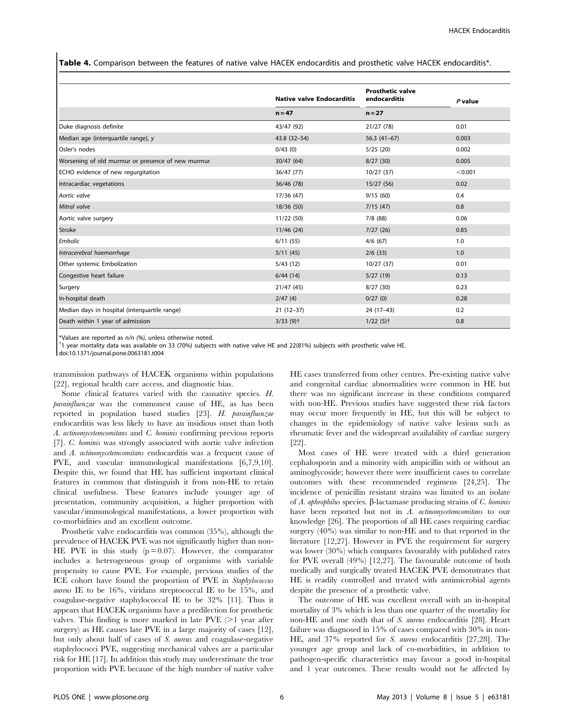Table 4. Comparison between the features of native valve HACEK endocarditis and prosthetic valve HACEK endocarditis\*.

|                                                   | <b>Native valve Endocarditis</b> | <b>Prosthetic valve</b><br>endocarditis | $P$ value |  |
|---------------------------------------------------|----------------------------------|-----------------------------------------|-----------|--|
|                                                   | $n = 47$                         | $n = 27$                                |           |  |
| Duke diagnosis definite                           | 43/47 (92)                       | 21/27(78)                               | 0.01      |  |
| Median age (interquartile range), y               | 43.8 (32-54)                     | $56.3(41-67)$                           | 0.003     |  |
| Osler's nodes                                     | 0/43(0)                          | 5/25(20)                                | 0.002     |  |
| Worsening of old murmur or presence of new murmur | 30/47 (64)                       | 8/27(30)                                | 0.005     |  |
| ECHO evidence of new regurgitation                | 36/47 (77)                       | 10/27(37)                               | < 0.001   |  |
| Intracardiac vegetations                          | 36/46 (78)                       | 15/27 (56)                              | 0.02      |  |
| Aortic valve                                      | 17/36 (47)                       | 9/15(60)                                | 0.4       |  |
| Mitral valve                                      | 18/36 (50)                       | 7/15(47)                                | 0.8       |  |
| Aortic valve surgery                              | 11/22 (50)                       | 7/8 (88)                                | 0.06      |  |
| Stroke                                            | 11/46 (24)                       | 7/27(26)                                | 0.85      |  |
| <b>Embolic</b>                                    | 6/11(55)                         | 4/6(67)                                 | 1.0       |  |
| Intracerebral haemorrhage                         | 5/11(45)                         | 2/6(33)                                 | 1.0       |  |
| Other systemic Embolization                       | 5/43(12)                         | 10/27 (37)                              | 0.01      |  |
| Congestive heart failure                          | 6/44(14)                         | 5/27(19)                                | 0.13      |  |
| Surgery                                           | 21/47 (45)                       | 8/27(30)                                | 0.23      |  |
| In-hospital death                                 | 2/47(4)                          | 0/27(0)                                 | 0.28      |  |
| Median days in hospital (interquartile range)     | $21(12-37)$                      | 24 (17-43)                              | 0.2       |  |
| Death within 1 year of admission                  | $3/33(9)$ <sup>+</sup>           | $1/22(5)$ †                             | 0.8       |  |

\*Values are reported as  $n/n$  (%), unless otherwise noted.

 $^{\dagger}$ 1 year mortality data was available on 33 (70%) subjects with native valve HE and 22(81%) subjects with prosthetic valve HE.

doi:10.1371/journal.pone.0063181.t004

transmission pathways of HACEK organisms within populations [22], regional health care access, and diagnostic bias.

Some clinical features varied with the causative species. H. parainfluenzae was the commonest cause of HE, as has been reported in population based studies [23]. H. parainfluenzae endocarditis was less likely to have an insidious onset than both A. actinomycetemcomitans and C. hominis confirming previous reports [7]. C. hominis was strongly associated with aortic valve infection and A. actinomycetemcomitans endocarditis was a frequent cause of PVE, and vascular immunological manifestations [6,7,9,10]. Despite this, we found that HE has sufficient important clinical features in common that distinguish it from non-HE to retain clinical usefulness. These features include younger age of presentation, community acquisition, a higher proportion with vascular/immunological manifestations, a lower proportion with co-morbidities and an excellent outcome.

Prosthetic valve endocarditis was common (35%), although the prevalence of HACEK PVE was not significantly higher than non-HE PVE in this study  $(p = 0.07)$ . However, the comparator includes a heterogeneous group of organisms with variable propensity to cause PVE. For example, previous studies of the ICE cohort have found the proportion of PVE in Staphylococcus aureus IE to be 16%, viridans streptococcal IE to be 15%, and coagulase-negative staphylococcal IE to be 32% [11]. Thus it appears that HACEK organisms have a predilection for prosthetic valves. This finding is more marked in late  $PVE \geq 1$  year after surgery) as HE causes late PVE in a large majority of cases [12], but only about half of cases of S. aureus and coagulase-negative staphylococci PVE, suggesting mechanical valves are a particular risk for HE [17]. In addition this study may underestimate the true proportion with PVE because of the high number of native valve

HE cases transferred from other centres. Pre-existing native valve and congenital cardiac abnormalities were common in HE but there was no significant increase in these conditions compared with non-HE. Previous studies have suggested these risk factors may occur more frequently in HE, but this will be subject to changes in the epidemiology of native valve lesions such as rheumatic fever and the widespread availability of cardiac surgery [22].

Most cases of HE were treated with a third generation cephalosporin and a minority with ampicillin with or without an aminoglycoside; however there were insufficient cases to correlate outcomes with these recommended regimens [24,25]. The incidence of penicillin resistant strains was limited to an isolate of A. aphrophilus species.  $\beta$ -lactamase producing strains of C. hominis have been reported but not in A. actinomycetemcomitans to our knowledge [26]. The proportion of all HE cases requiring cardiac surgery (40%) was similar to non-HE and to that reported in the literature [12,27]. However in PVE the requirement for surgery was lower (30%) which compares favourably with published rates for PVE overall (49%) [12,27]. The favourable outcome of both medically and surgically treated HACEK PVE demonstrates that HE is readily controlled and treated with antimicrobial agents despite the presence of a prosthetic valve.

The outcome of HE was excellent overall with an in-hospital mortality of 3% which is less than one quarter of the mortality for non-HE and one sixth that of S. aureus endocarditis [28]. Heart failure was diagnosed in 15% of cases compared with 30% in non-HE, and 37% reported for S. aureus endocarditis [27,28]. The younger age group and lack of co-morbidities, in addition to pathogen-specific characteristics may favour a good in-hospital and 1 year outcomes. These results would not be affected by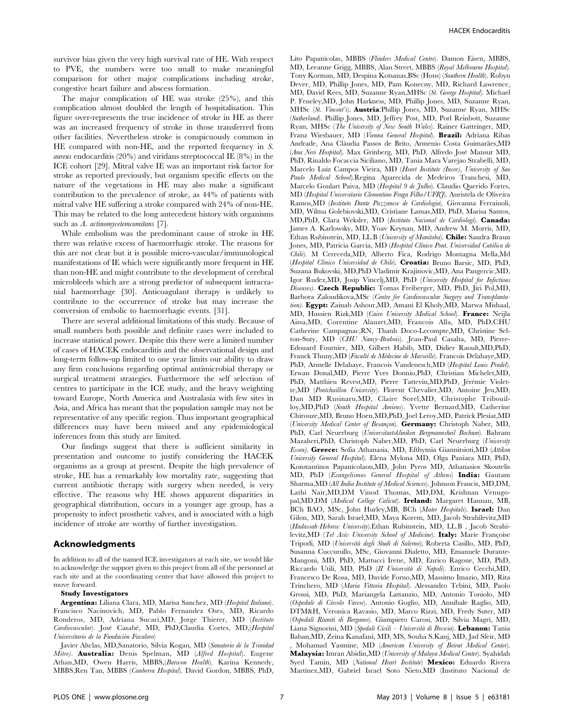survivor bias given the very high survival rate of HE. With respect to PVE, the numbers were too small to make meaningful comparison for other major complications including stroke, congestive heart failure and abscess formation.

The major complication of HE was stroke (25%), and this complication almost doubled the length of hospitalisation. This figure over-represents the true incidence of stroke in HE as there was an increased frequency of stroke in those transferred from other facilities. Nevertheless stroke is conspicuously common in HE compared with non-HE, and the reported frequency in S. aureus endocarditis (20%) and viridans streptococcal IE (8%) in the ICE cohort [29]. Mitral valve IE was an important risk factor for stroke as reported previously, but organism specific effects on the nature of the vegetations in HE may also make a significant contribution to the prevalence of stroke, as 44% of patients with mitral valve HE suffering a stroke compared with 24% of non-HE. This may be related to the long antecedent history with organisms such as A. actinomycetemcomitans [7].

While embolism was the predominant cause of stroke in HE there was relative excess of haemorrhagic stroke. The reasons for this are not clear but it is possible micro-vascular/immunological manifestations of IE which were significantly more frequent in HE than non-HE and might contribute to the development of cerebral microbleeds which are a strong predictor of subsequent intracranial haemorrhage [30]. Anticoagulant therapy is unlikely to contribute to the occurrence of stroke but may increase the conversion of embolic to haemorrhagic events. [31].

There are several additional limitations of this study. Because of small numbers both possible and definite cases were included to increase statistical power. Despite this there were a limited number of cases of HACEK endocarditis and the observational design and long-term follow-up limited to one year limits our ability to draw any firm conclusions regarding optimal antimicrobial therapy or surgical treatment strategies. Furthermore the self selection of centres to participate in the ICE study, and the heavy weighting toward Europe, North America and Australasia with few sites in Asia, and Africa has meant that the population sample may not be representative of any specific region. Thus important geographical differences may have been missed and any epidemiological inferences from this study are limited.

Our findings suggest that there is sufficient similarity in presentation and outcome to justify considering the HACEK organisms as a group at present. Despite the high prevalence of stroke, HE has a remarkably low mortality rate, suggesting that current antibiotic therapy with surgery when needed, is very effective. The reasons why HE shows apparent disparities in geographical distribution, occurs in a younger age group, has a propensity to infect prosthetic valves, and is associated with a high incidence of stroke are worthy of further investigation.

#### Acknowledgments

In addition to all of the named ICE investigators at each site, we would like to acknowledge the support given to this project from all of the personnel at each site and at the coordinating center that have allowed this project to move forward.

#### Study Investigators

Argentina: Liliana Clara, MD, Marisa Sanchez, MD (Hospital Italiano). Francisco Nacinovich, MD, Pablo Fernandez Oses, MD, Ricardo Ronderos, MD, Adriana Sucari,MD, Jorge Thierer, MD (Instituto Cardiovascular). José Casabé, MD, PhD,Claudia Cortes, MD,(Hospital Universitario de la Fundación Favaloro)

Javier Altclas, MD,Sanatorio, Silvia Kogan, MD (Sanatorio de la Trinidad Mitre). Australia: Denis Spelman, MD (Alfred Hospital). Eugene Athan,MD, Owen Harris, MBBS,(Barwon Health). Karina Kennedy, MBBS,Ren Tan, MBBS (Canberra Hospital). David Gordon, MBBS, PhD,

Lito Papanicolas, MBBS (Flinders Medical Centre). Damon Eisen, MBBS, MD, Leeanne Grigg, MBBS, Alan Street, MBBS (Royal Melbourne Hospital). Tony Korman, MD, Despina Kotsanas,BSc (Hons) (Southern Health). Robyn Dever, MD, Phillip Jones, MD, Pam Konecny, MD, Richard Lawrence, MD, David Rees, MD, Suzanne Ryan,MHSc (St. George Hospital). Michael P. Feneley,MD, John Harkness, MD, Phillip Jones, MD, Suzanne Ryan, MHSc (St. Vincent's). Austria:Phillip Jones, MD, Suzanne Ryan, MHSc (Sutherland). Phillip Jones, MD, Jeffrey Post, MD, Porl Reinbott, Suzanne Ryan, MHSc (The University of New South Wales). Rainer Gattringer, MD, Franz Wiesbauer, MD (Vienna General Hospital). Brazil: Adriana Ribas Andrade, Ana Cláudia Passos de Brito, Armenio Costa Guimarães, MD (Ana Neri Hospital). Max Grinberg, MD, PhD, Alfredo Jose´ Mansur MD, PhD, Rinaldo Focaccia Siciliano, MD, Tania Mara Varejao Strabelli, MD, Marcelo Luiz Campos Vieira, MD (Heart Institute (Incor), University of Sao Paulo Medical School).Regina Aparecida de Medeiros Tranchesi, MD, Marcelo Goulart Paiva, MD (Hospital 9 de Julho). Claudio Querido Fortes, MD (Hospital Universitario Clementino Fraga Filho/UFRJ). Auristela de Oliveira Ramos,MD (Instituto Dante Pazzanese de Cardiologia). Giovanna Ferraiuoli, MD, Wilma Golebiovski,MD, Cristiane Lamas,MD, PhD, Marisa Santos, MD,PhD, Clara Weksler, MD (Instituto Nacional de Cardiologi). Canada: James A. Karlowsky, MD, Yoav Keynan, MD, Andrew M. Morris, MD, Ethan Rubinstein, MD, LL.B (University of Manitoba). Chile: Sandra Braun Jones, MD, Patricia Garcia, MD (Hospital Clínico Pont. Universidad Católica de Chile). M Cereceda,MD, Alberto Fica, Rodrigo Montagna Mella,Md (Hospital Clinico Universidad de Chile). Croatia: Bruno Barsic, MD, PhD, Suzana Bukovski, MD,PhD Vladimir Krajinovic,MD, Ana Pangercic,MD, Igor Rudez,MD, Josip Vincelj,MD, PhD (University Hospital for Infectious Diseases). Czech Republic: Tomas Freiberger, MD, PhD, Jiri Pol,MD, Barbora Zaloudikova,MSc (Centre for Cardiovascular Surgery and Transplantation). Egypt: Zainab Ashour, MD, Amani El Kholy, MD, Marwa Mishaal, MD, Hussien Rizk,MD (Cairo University Medical School). France: Neijla Aissa,MD, Corentine Alauzet,MD, Francois Alla, MD, PhD,CHU Catherine Campagnac,RN, Thanh Doco-Lecompte,MD, Christine Selton-Suty, MD (CHU Nancy-Brabois). Jean-Paul Casalta, MD, Pierre-Edouard Fournier, MD, Gilbert Habib, MD, Didier Raoult,MD,PhD, Franck Thuny, MD (Faculté de Médecine de Marseille). Francois Delahaye, MD, PhD, Armelle Delahaye, Francois Vandenesch,MD (Hospital Louis Pradel). Erwan Donal,MD, Pierre Yves Donnio,PhD, Christian Michelet,MD, PhD, Matthieu Revest, MD, Pierre Tattevin, MD, PhD, Jérémie Violette,MD (Pontchaillou University). Florent Chevalier,MD, Antoine Jeu,MD, Dan MD Rusinaru,MD, Claire Sorel,MD, Christophe Tribouilloy,MD,PhD (South Hospital Amiens). Yvette Bernard,MD, Catherine Chirouze,MD, Bruno Hoen,MD,PhD, Joel Leroy,MD, Patrick Plesiat,MD (University Medical Center of Besançon). Germany: Christoph Naber, MD, PhD, Carl Neuerburg (Universitaetskliniken Bergmannsheil Bochum). Bahram Mazaheri,PhD, Christoph Naber,MD, PhD, Carl Neuerburg (University Essen). Greece: Sofia Athanasia, MD, Efthymia Giannitsioti,MD (Attikon University General Hospital). Elena Mylona MD, Olga Paniara MD, PhD, Konstantinos Papanicolaou,MD, John Pyros MD, Athanasios Skoutelis MD, PhD (Evangelismos General Hospital of Athens) India: Gautam Sharma,MD (All India Institute of Medical Sciences). Johnson Francis, MD,DM, Lathi Nair,MD,DM Vinod Thomas, MD,DM, Krishnan Venugopal,MD,DM (Medical College Calicut). Ireland: Margaret Hannan, MB, BCh BAO, MSc, John Hurley, MB, BCh (Mater Hospitals). Israel: Dan Gilon, MD, Sarah Israel,MD, Maya Korem, MD, Jacob Strahilevitz,MD (Hadassah-Hebrew University).Ethan Rubinstein, MD, LL.B , Jacob Strahilevitz, MD (Tel Aviv University School of Medicine). Italy: Marie Françoise Tripodi, MD (Universita` degli Studi di Salerno); Roberta Casillo, MD, PhD, Susanna Cuccurullo, MSc, Giovanni Dialetto, MD, Emanuele Durante-Mangoni, MD, PhD, Mattucci Irene, MD, Enrico Ragone, MD, PhD, Riccardo Utili, MD, PhD (II Università di Napoli). Enrico Cecchi, MD, Francesco De Rosa, MD, Davide Forno,MD, Massimo Imazio, MD, Rita Trinchero, MD (Maria Vittoria Hospital). Alessandro Tebini, MD, Paolo Grossi, MD, PhD, Mariangela Lattanzio, MD, Antonio Toniolo, MD (Ospedale di Circolo Varese). Antonio Goglio, MD, Annibale Raglio, MD, DTM&H, Veronica Ravasio, MD, Marco Rizzi, MD, Fredy Suter, MD (Ospedali Riuniti di Bergamo). Giampiero Carosi, MD, Silvia Magri, MD, Liana Signorini, MD (Spedali Civili – Università di Brescia). Lebanon: Tania Baban,MD, Zeina Kanafani, MD, MS, Souha S.Kanj, MD, Jad Sfeir, MD , Mohamad Yasmine, MD (American University of Beirut Medical Center). Malaysia: Imran Abidin,MD (University of Malaya Medical Center). Syahidah Syed Tamin, MD (National Heart Institute) Mexico: Eduardo Rivera Martínez, MD, Gabriel Israel Soto Nieto, MD (Instituto Nacional de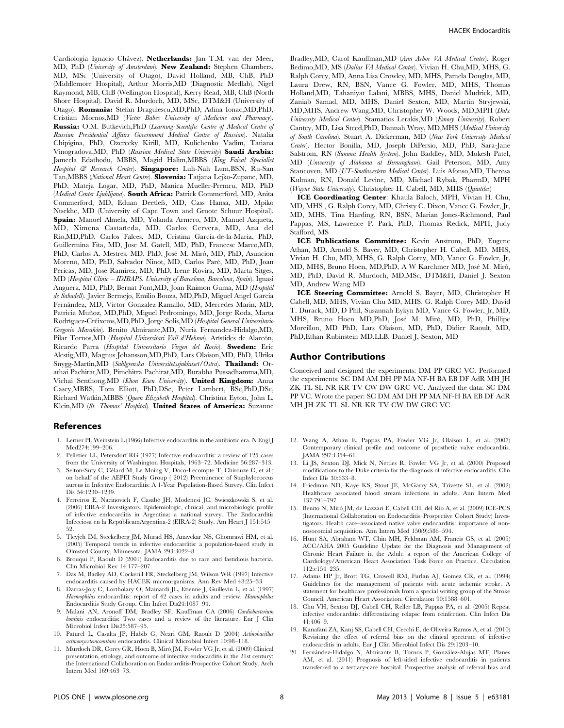Cardiología Ignacio Chávez). Netherlands: Jan T.M. van der Meer, MD, PhD (University of Amsterdam). New Zealand: Stephen Chambers, MD, MSc (University of Otago), David Holland, MB, ChB, PhD (Middlemore Hospital), Arthur Morris,MD (Diagnostic Medlab), Nigel Raymond, MB, ChB (Wellington Hospital), Kerry Read, MB, ChB (North Shore Hospital). David R. Murdoch, MD, MSc, DTM&H (University of Otago). Romania: Stefan Dragulescu,MD,PhD, Adina Ionac,MD,PhD, Cristian Mornos,MD (Victor Babes University of Medicine and Pharmacy). Russia: O.M. Butkevich,PhD (Learning-Scientific Centre of Medical Centre of Russian Presidential Affairs Government Medical Centre of Russian). Natalia Chipigina, PhD, Ozerecky Kirill, MD, Kulichenko Vadim, Tatiana Vinogradova, MD, PhD (Russian Medical State University) Saudi Arabia: Jameela Edathodu, MBBS, Magid Halim, MBBS (King Faisal Specialist Hospital & Research Center). Singapore: Luh-Nah Lum, BSN, Ru-San Tan,MBBS (National Heart Centre). Slovenia: Tatjana Lejko-Zupanc, MD, PhD, Mateja Logar, MD, PhD, Manica Mueller-Premru, MD, PhD (Medical Center Ljublijana). South Africa: Patrick Commerford, MD, Anita Commerford, MD, Eduan Deetlefs, MD, Cass Hansa, MD, Mpiko Ntsekhe, MD (University of Cape Town and Groote Schuur Hospital). Spain: Manuel Almela, MD, Yolanda Armero, MD, Manuel Azqueta, MD, Ximena Castan˜eda, MD, Carlos Cervera, MD, Ana del Rio,MD,PhD, Carlos Falces, MD, Cristina Garcia-de-la-Maria, PhD, Guillermina Fita, MD, Jose M. Gatell, MD, PhD, Francesc Marco,MD, PhD, Carlos A. Mestres, MD, PhD, José M. Miró, MD, PhD, Asuncion Moreno, MD, PhD, Salvador Ninot, MD, Carlos Paré, MD, PhD, Joan Pericas, MD, Jose Ramirez, MD, PhD, Irene Rovira, MD, Marta Sitges, MD (Hospital Clinic – IDIBAPS. University of Barcelona, Barcelona, Spain). Ignasi Anguera, MD, PhD, Bernat Font, MD, Joan Raimon Guma, MD (Hospitál de Sabadell). Javier Bermejo, Emilio Bouza, MD,PhD, Miguel Angel Garcia Fernández, MD, Victor Gonzalez-Ramallo, MD, Mercedes Marín, MD, Patricia Muñoz, MD,PhD, Miguel Pedromingo, MD, Jorge Roda, Marta Rodríguez-Créixems,MD,PhD, Jorge Solis,MD (Hospital General Universitario Gregorio Marañón). Benito Almirante,MD, Nuria Fernandez-Hidalgo,MD, Pilar Tornos, MD (Hospital Universitari Vall d'Hebron). Arístides de Alarcón, Ricardo Parra (Hospital Universitario Virgen del Rocío). Sweden: Eric Alestig,MD, Magnus Johansson,MD,PhD, Lars Olaison,MD, PhD, Ulrika Snygg-Martin,MD (Sahlgrenska Universitetssjukhuset/Östra). Thailand: Orathai Pachirat,MD, Pimchitra Pachirat,MD, Burabha Pussadhamma,MD, Vichai Senthong, MD (Khon Kaen University). United Kingdom: Anna Casey,MBBS, Tom Elliott, PhD,DSc, Peter Lambert, BSc,PhD,DSc, Richard Watkin,MBBS (Queen Elizabeth Hospital). Christina Eyton, John L. Klein, MD (St. Thomas' Hospital). United States of America: Suzanne

#### References

- 1. Lerner PI, Weinstein L (1966) Infective endocarditis in the antibiotic era. N Engl J Med274:199–206.
- 2. Pelletier LL, Petersdorf RG (1977) Infective endocarditis: a review of 125 cases from the University of Washington Hospitals, 1963–72. Medicine 56:287–313.
- 3. Selton-Suty C, Célard M, Le Moing V, Doco-Lecompte T, Chirouze C, et al.; on behalf of the AEPEI Study Group ( 2012) Preeminence of Staphylococcus aureus in Infective Endocarditis: A 1-Year Population-Based Survey. Clin Infect Dis 54:1230–1239.
- 4. Ferreiros E, Nacinovich F, Casabe´ JH, Modenesi JC, Swieszkowski S, et al. (2006) EIRA-2 Investigators. Epidemiologic, clinical, and microbiologic profile of infective endocarditis in Argentina: a national survey. The Endocarditis Infecciosa en la RepúblicamArgentina-2 (EIRA-2) Study. Am Heart J 151:545– 52.
- 5. Tleyjeh IM, Steckelberg JM, Murad HS, Anavekar NS, Ghomrawi HM, et al. (2005) Temporal trends in infective endocarditis: a population-based study in Olmsted County, Minnesota. JAMA 293:3022–8
- 6. Brouqui P, Raoult D (2001) Endocarditis due to rare and fastidious bacteria. Clin Microbiol Rev 14:177–207.
- 7. Das M, Badley AD, Cockerill FR, Steckelberg JM, Wilson WR (1997) Infective endocarditis caused by HACEK microorganisms. Ann Rev Med 48:25–33
- 8. Darras-Joly C, Lortholary O, Mainardi JL, Etienne J, Guillevin L, et al. (1997) Haemophilus endocarditis: report of 42 cases in adults and review. Haemophilus Endocarditis Study Group. Clin Infect Dis24:1087–94.
- 9. Malani AN, Aronoff DM, Bradley SF, Kauffman CA (2006) Cardiobacterium hominis endocarditis: Two cases and a review of the literature. Eur J Clin Microbiol Infect Dis25:587–95.
- 10. Paturel L, Casalta JP, Habib G, Nezri GM, Raoult D (2004) Actinobacillus actinomycetemcomitans endocarditis. Clinical Microbiol Infect 10:98–118.
- 11. Murdoch DR, Corey GR, Hoen B, Miro´ JM, Fowler VG Jr, et al. (2009) Clinical presentation, etiology, and outcome of infective endocarditis in the 21st century: the International Collaboration on Endocarditis-Prospective Cohort Study. Arch Intern Med 169:463–73.

Bradley,MD, Carol Kauffman,MD (Ann Arbor VA Medical Center). Roger Bedimo,MD, MS (Dallas VA Medical Center). Vivian H. Chu,MD, MHS, G. Ralph Corey, MD, Anna Lisa Crowley, MD, MHS, Pamela Douglas, MD, Laura Drew, RN, BSN, Vance G. Fowler, MD, MHS, Thomas Holland,MD, Tahaniyat Lalani, MBBS, MHS, Daniel Mudrick, MD, Zaniab Samad, MD, MHS, Daniel Sexton, MD, Martin Stryjewski, MD,MHS, Andrew Wang,MD, Christopher W. Woods, MD,MPH (Duke University Medical Center). Stamatios Lerakis,MD (Emory University). Robert Cantey, MD, Lisa Steed,PhD, Dannah Wray, MD,MHS (Medical University of South Carolina). Stuart A. Dickerman, MD (New York University Medical Center). Hector Bonilla, MD, Joseph DiPersio, MD, PhD, Sara-Jane Salstrom, RN (Summa Health System). John Baddley, MD, Mukesh Patel, MD (University of Alabama at Birmingham). Gail Peterson, MD, Amy Stancoven, MD (UT-Southwestern Medical Center). Luis Afonso,MD, Theresa Kulman, RN, Donald Levine, MD, Michael Rybak, PharmD, MPH (Wayne State University). Christopher H. Cabell, MD, MHS (Quintiles)

ICE Coordinating Center: Khaula Baloch, MPH, Vivian H. Chu, MD, MHS , G. Ralph Corey, MD, Christy C. Dixon, Vance G. Fowler, Jr, MD, MHS, Tina Harding, RN, BSN, Marian Jones-Richmond, Paul Pappas, MS, Lawrence P. Park, PhD, Thomas Redick, MPH, Judy Stafford, MS

ICE Publications Committee: Kevin Anstrom, PhD, Eugene Athan, MD, Arnold S. Bayer, MD, Christopher H. Cabell, MD, MHS, Vivian H. Chu, MD, MHS, G. Ralph Corey, MD, Vance G. Fowler, Jr, MD, MHS, Bruno Hoen, MD, PhD, A W Karchmer MD, José M. Miró, MD, PhD, David R. Murdoch, MD,MSc, DTM&H, Daniel J. Sexton MD, Andrew Wang MD

ICE Steering Committee: Arnold S. Bayer, MD, Christopher H Cabell, MD, MHS, Vivian Chu MD, MHS. G. Ralph Corey MD, David T. Durack, MD, D Phil, Susannah Eykyn MD, Vance G. Fowler, Jr, MD, MHS, Bruno Hoen MD, PhD, José M. Miró, MD, PhD, Phillipe Moreillon, MD PhD, Lars Olaison, MD, PhD, Didier Raoult, MD, PhD,Ethan Rubinstein MD,LLB, Daniel J, Sexton, MD

#### Author Contributions

Conceived and designed the experiments: DM PP GRC VC. Performed the experiments: SC DM AM DH PP MA NF-H BA EB DF AdR MH JH ZK TL SL NR KR TV CW DW GRC VC. Analyzed the data: SC DM PP VC. Wrote the paper: SC DM AM DH PP MA NF-H BA EB DF AdR MH JH ZK TL SL NR KR TV CW DW GRC VC.

- 12. Wang A, Athan E, Pappas PA, Fowler VG Jr, Olaison L, et al. (2007) Contemporary clinical profile and outcome of prosthetic valve endocarditis. JAMA 297:1354–61.
- 13. Li JS, Sexton DJ, Mick N, Nettles R, Fowler VG Jr, et al. (2000) Proposed modifications to the Duke criteria for the diagnosis of infective endocarditis. Clin Infect Dis 30:633–8.
- 14. Friedman ND, Kaye KS, Stout JE, McGarry SA, Trivette SL, et al. (2002) Healthcare associated blood stream infections in adults. Ann Intern Med 137:791–797.
- 15. Benito N, Miro´ JM, de Lazzari E, Cabell CH, del Rı´o A, et al. (2009) ICE-PCS (International Collaboration on Endocarditis–Prospective Cohort Study) Investigators. Health care–associated native valve endocarditis: importance of nonnosocomial acquisition. Ann Intern Med 150(9):586–594.
- 16. Hunt SA, Abraham WT, Chin MH, Feldman AM, Francis GS, et al. (2005) ACC/AHA 2005 Guideline Update for the Diagnosis and Management of Chronic Heart Failure in the Adult: a report of the American College of Cardiology/American Heart Association Task Force on Practice. Circulation 112:e154–235.
- 17. Adams HP Jr, Brott TG, Crowell RM, Furlan AJ, Gomez CR, et al. (1994) Guidelines for the management of patients with acute ischemic stroke. A statement for healthcare professionals from a special writing group of the Stroke Council, American Heart Association. Circulation 90:1588–601.
- 18. Chu VH, Sexton DJ, Cabell CH, Reller LB, Pappas PA, et al. (2005) Repeat infective endocarditis: differentiating relapse from reinfection. Clin Infect Dis 41:406–9.
- 19. Kanafani ZA, Kanj SS, Cabell CH, Cecchi E, de Oliveira Ramos A, et al. (2010) Revisiting the effect of referral bias on the clinical spectrum of infective endocarditis in adults. Eur J Clin Microbiol Infect Dis 29:1203–10.
- 20. Fernández-Hidalgo N, Almirante B, Tornos P, González-Alujas MT, Planes AM, et al. (2011) Prognosis of left-sided infective endocarditis in patients transferred to a tertiary-care hospital. Prospective analysis of referral bias and